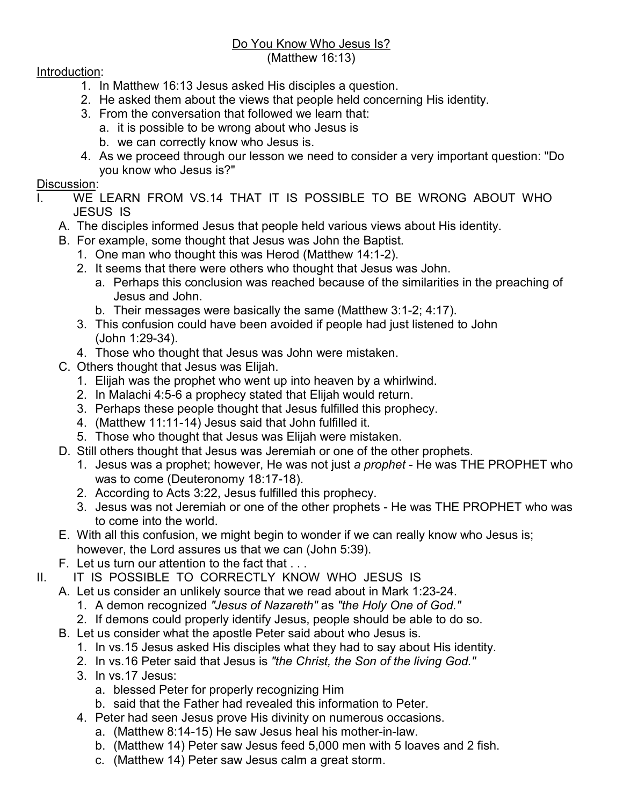## Do You Know Who Jesus Is?

(Matthew 16:13)

## Introduction:

- 1. In Matthew 16:13 Jesus asked His disciples a question.
- 2. He asked them about the views that people held concerning His identity.
- 3. From the conversation that followed we learn that:
	- a. it is possible to be wrong about who Jesus is
		- b. we can correctly know who Jesus is.
- 4. As we proceed through our lesson we need to consider a very important question: "Do you know who Jesus is?"

## Discussion:

- I. WE LEARN FROM VS.14 THAT IT IS POSSIBLE TO BE WRONG ABOUT WHO JESUS IS
	- A. The disciples informed Jesus that people held various views about His identity.
	- B. For example, some thought that Jesus was John the Baptist.
		- 1. One man who thought this was Herod (Matthew 14:1-2).
		- 2. It seems that there were others who thought that Jesus was John.
			- a. Perhaps this conclusion was reached because of the similarities in the preaching of Jesus and John.
			- b. Their messages were basically the same (Matthew 3:1-2; 4:17).
		- 3. This confusion could have been avoided if people had just listened to John (John 1:29-34).
		- 4. Those who thought that Jesus was John were mistaken.
	- C. Others thought that Jesus was Elijah.
		- 1. Elijah was the prophet who went up into heaven by a whirlwind.
		- 2. In Malachi 4:5-6 a prophecy stated that Elijah would return.
		- 3. Perhaps these people thought that Jesus fulfilled this prophecy.
		- 4. (Matthew 11:11-14) Jesus said that John fulfilled it.
		- 5. Those who thought that Jesus was Elijah were mistaken.
	- D. Still others thought that Jesus was Jeremiah or one of the other prophets.
		- 1. Jesus was a prophet; however, He was not just *a prophet* He was THE PROPHET who was to come (Deuteronomy 18:17-18).
		- 2. According to Acts 3:22, Jesus fulfilled this prophecy.
		- 3. Jesus was not Jeremiah or one of the other prophets He was THE PROPHET who was to come into the world.
	- E. With all this confusion, we might begin to wonder if we can really know who Jesus is; however, the Lord assures us that we can (John 5:39).
	- F. Let us turn our attention to the fact that . . .
- II. IT IS POSSIBLE TO CORRECTLY KNOW WHO JESUS IS
	- A. Let us consider an unlikely source that we read about in Mark 1:23-24.
		- 1. A demon recognized *"Jesus of Nazareth"* as *"the Holy One of God."*
		- 2. If demons could properly identify Jesus, people should be able to do so.
		- B. Let us consider what the apostle Peter said about who Jesus is.
			- 1. In vs.15 Jesus asked His disciples what they had to say about His identity.
			- 2. In vs.16 Peter said that Jesus is *"the Christ, the Son of the living God."*
			- 3. In vs.17 Jesus:
				- a. blessed Peter for properly recognizing Him
				- b. said that the Father had revealed this information to Peter.
			- 4. Peter had seen Jesus prove His divinity on numerous occasions.
				- a. (Matthew 8:14-15) He saw Jesus heal his mother-in-law.
				- b. (Matthew 14) Peter saw Jesus feed 5,000 men with 5 loaves and 2 fish.
				- c. (Matthew 14) Peter saw Jesus calm a great storm.